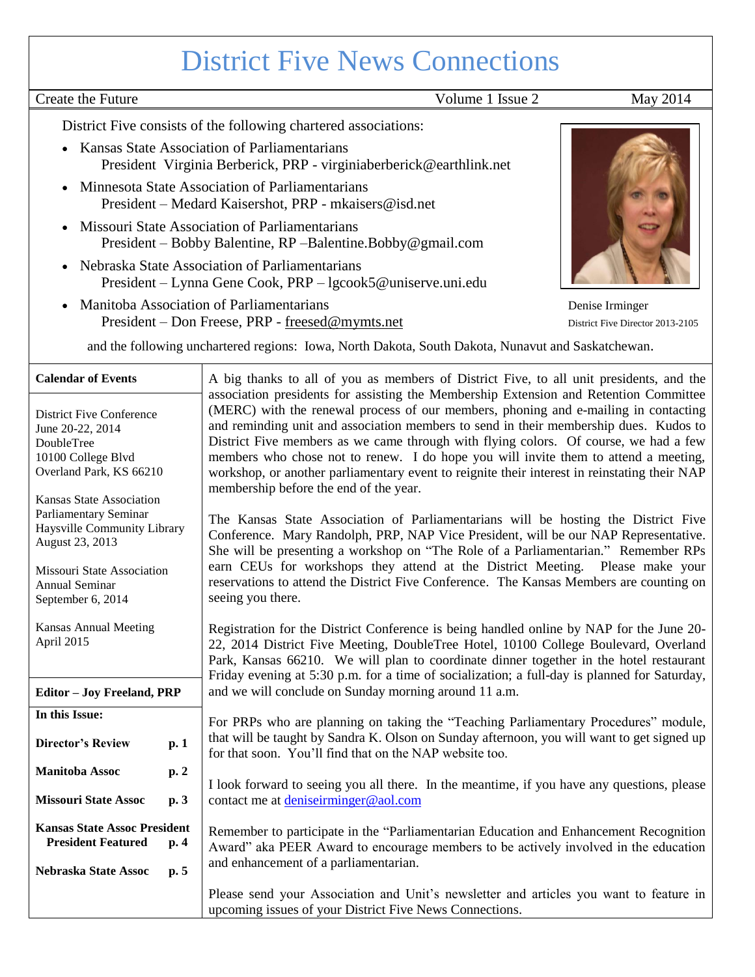# District Five News Connections

Create the Future Volume 1 Issue 2 May 2014

District Five consists of the following chartered associations:

- Kansas State Association of Parliamentarians President Virginia Berberick, PRP - virginiaberberick@earthlink.net
- Minnesota State Association of Parliamentarians President – Medard Kaisershot, PRP - mkaisers@isd.net
- Missouri State Association of Parliamentarians President – Bobby Balentine, RP –Balentine.Bobby@gmail.com
- Nebraska State Association of Parliamentarians President – Lynna Gene Cook, PRP – lgcook5@uniserve.uni.edu
- Manitoba Association of Parliamentarians Denise Irminger President – Don Freese, PRP - [freesed@mymts.net](mailto:freesed@mymts.net) District Five Director 2013-2105



and the following unchartered regions: Iowa, North Dakota, South Dakota, Nunavut and Saskatchewan.

| <b>Calendar of Events</b> |  |  |  |  |  |  |  |  |  |  |  |  |  | A big thanks to all of you as members of District Five, to all unit presidents, and the |  |  |
|---------------------------|--|--|--|--|--|--|--|--|--|--|--|--|--|-----------------------------------------------------------------------------------------|--|--|
|---------------------------|--|--|--|--|--|--|--|--|--|--|--|--|--|-----------------------------------------------------------------------------------------|--|--|

|                                                     |      | association presidents for assisting the Membership Extension and Retention Committee        |  |  |  |  |  |
|-----------------------------------------------------|------|----------------------------------------------------------------------------------------------|--|--|--|--|--|
|                                                     |      | (MERC) with the renewal process of our members, phoning and e-mailing in contacting          |  |  |  |  |  |
| <b>District Five Conference</b><br>June 20-22, 2014 |      | and reminding unit and association members to send in their membership dues. Kudos to        |  |  |  |  |  |
| DoubleTree                                          |      | District Five members as we came through with flying colors. Of course, we had a few         |  |  |  |  |  |
| 10100 College Blvd                                  |      | members who chose not to renew. I do hope you will invite them to attend a meeting,          |  |  |  |  |  |
| Overland Park, KS 66210                             |      | workshop, or another parliamentary event to reignite their interest in reinstating their NAP |  |  |  |  |  |
|                                                     |      | membership before the end of the year.                                                       |  |  |  |  |  |
| Kansas State Association                            |      |                                                                                              |  |  |  |  |  |
| Parliamentary Seminar                               |      | The Kansas State Association of Parliamentarians will be hosting the District Five           |  |  |  |  |  |
| Haysville Community Library                         |      | Conference. Mary Randolph, PRP, NAP Vice President, will be our NAP Representative.          |  |  |  |  |  |
| August 23, 2013                                     |      | She will be presenting a workshop on "The Role of a Parliamentarian." Remember RPs           |  |  |  |  |  |
|                                                     |      | earn CEUs for workshops they attend at the District Meeting. Please make your                |  |  |  |  |  |
| Missouri State Association                          |      |                                                                                              |  |  |  |  |  |
| Annual Seminar                                      |      | reservations to attend the District Five Conference. The Kansas Members are counting on      |  |  |  |  |  |
| September 6, 2014                                   |      | seeing you there.                                                                            |  |  |  |  |  |
| <b>Kansas Annual Meeting</b>                        |      | Registration for the District Conference is being handled online by NAP for the June 20-     |  |  |  |  |  |
| April 2015                                          |      | 22, 2014 District Five Meeting, DoubleTree Hotel, 10100 College Boulevard, Overland          |  |  |  |  |  |
|                                                     |      | Park, Kansas 66210. We will plan to coordinate dinner together in the hotel restaurant       |  |  |  |  |  |
|                                                     |      | Friday evening at 5:30 p.m. for a time of socialization; a full-day is planned for Saturday, |  |  |  |  |  |
| <b>Editor - Joy Freeland, PRP</b>                   |      | and we will conclude on Sunday morning around 11 a.m.                                        |  |  |  |  |  |
|                                                     |      |                                                                                              |  |  |  |  |  |
| In this Issue:                                      |      | For PRPs who are planning on taking the "Teaching Parliamentary Procedures" module,          |  |  |  |  |  |
|                                                     |      | that will be taught by Sandra K. Olson on Sunday afternoon, you will want to get signed up   |  |  |  |  |  |
| <b>Director's Review</b>                            | p. 1 | for that soon. You'll find that on the NAP website too.                                      |  |  |  |  |  |
| <b>Manitoba Assoc</b>                               | p.2  |                                                                                              |  |  |  |  |  |
|                                                     |      | I look forward to seeing you all there. In the meantime, if you have any questions, please   |  |  |  |  |  |
| <b>Missouri State Assoc</b>                         | p. 3 | contact me at deniseirminger@aol.com                                                         |  |  |  |  |  |
|                                                     |      |                                                                                              |  |  |  |  |  |
| <b>Kansas State Assoc President</b>                 |      | Remember to participate in the "Parliamentarian Education and Enhancement Recognition        |  |  |  |  |  |
| <b>President Featured</b>                           | p. 4 | Award" aka PEER Award to encourage members to be actively involved in the education          |  |  |  |  |  |
|                                                     |      | and enhancement of a parliamentarian.                                                        |  |  |  |  |  |
| Nebraska State Assoc                                | p.5  |                                                                                              |  |  |  |  |  |
|                                                     |      | Please send your Association and Unit's newsletter and articles you want to feature in       |  |  |  |  |  |
|                                                     |      | upcoming issues of your District Five News Connections.                                      |  |  |  |  |  |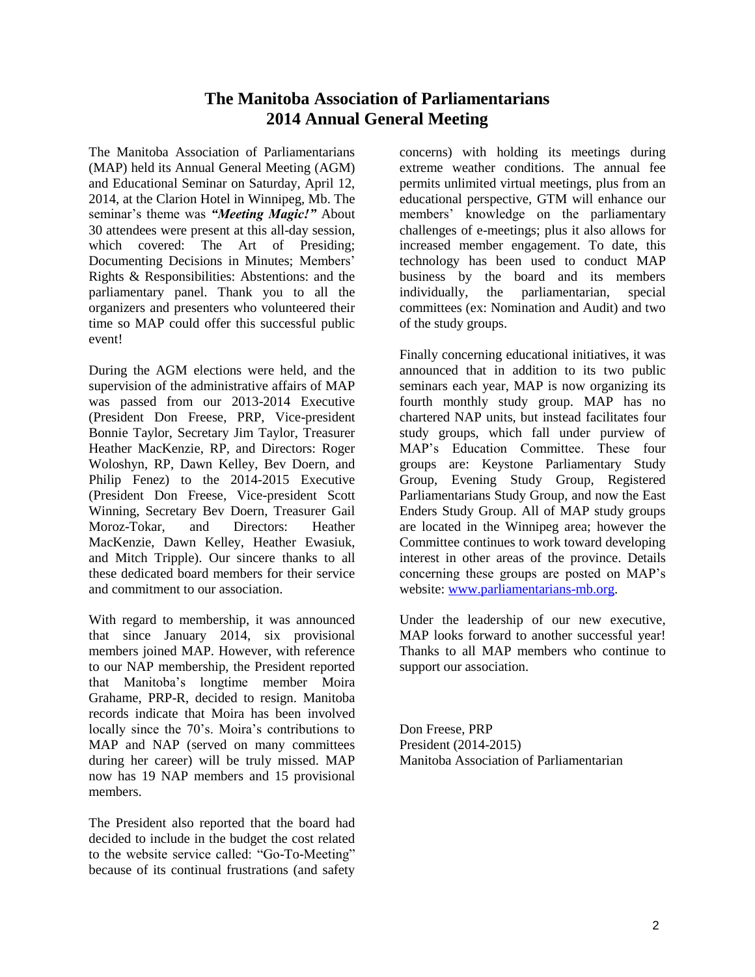### **The Manitoba Association of Parliamentarians 2014 Annual General Meeting**

The Manitoba Association of Parliamentarians (MAP) held its Annual General Meeting (AGM) and Educational Seminar on Saturday, April 12, 2014, at the Clarion Hotel in Winnipeg, Mb. The seminar's theme was *"Meeting Magic!"* About 30 attendees were present at this all-day session, which covered: The Art of Presiding; Documenting Decisions in Minutes; Members' Rights & Responsibilities: Abstentions: and the parliamentary panel. Thank you to all the organizers and presenters who volunteered their time so MAP could offer this successful public event!

During the AGM elections were held, and the supervision of the administrative affairs of MAP was passed from our 2013-2014 Executive (President Don Freese, PRP, Vice-president Bonnie Taylor, Secretary Jim Taylor, Treasurer Heather MacKenzie, RP, and Directors: Roger Woloshyn, RP, Dawn Kelley, Bev Doern, and Philip Fenez) to the 2014-2015 Executive (President Don Freese, Vice-president Scott Winning, Secretary Bev Doern, Treasurer Gail Moroz-Tokar, and Directors: Heather MacKenzie, Dawn Kelley, Heather Ewasiuk, and Mitch Tripple). Our sincere thanks to all these dedicated board members for their service and commitment to our association.

With regard to membership, it was announced that since January 2014, six provisional members joined MAP. However, with reference to our NAP membership, the President reported that Manitoba's longtime member Moira Grahame, PRP-R, decided to resign. Manitoba records indicate that Moira has been involved locally since the 70's. Moira's contributions to MAP and NAP (served on many committees during her career) will be truly missed. MAP now has 19 NAP members and 15 provisional members.

The President also reported that the board had decided to include in the budget the cost related to the website service called: "Go-To-Meeting" because of its continual frustrations (and safety

concerns) with holding its meetings during extreme weather conditions. The annual fee permits unlimited virtual meetings, plus from an educational perspective, GTM will enhance our members' knowledge on the parliamentary challenges of e-meetings; plus it also allows for increased member engagement. To date, this technology has been used to conduct MAP business by the board and its members individually, the parliamentarian, special committees (ex: Nomination and Audit) and two of the study groups.

Finally concerning educational initiatives, it was announced that in addition to its two public seminars each year, MAP is now organizing its fourth monthly study group. MAP has no chartered NAP units, but instead facilitates four study groups, which fall under purview of MAP's Education Committee. These four groups are: Keystone Parliamentary Study Group, Evening Study Group, Registered Parliamentarians Study Group, and now the East Enders Study Group. All of MAP study groups are located in the Winnipeg area; however the Committee continues to work toward developing interest in other areas of the province. Details concerning these groups are posted on MAP's website: [www.parliamentarians-mb.org.](http://www.parliamentarians-mb.org/)

Under the leadership of our new executive, MAP looks forward to another successful year! Thanks to all MAP members who continue to support our association.

Don Freese, PRP President (2014-2015) Manitoba Association of Parliamentarian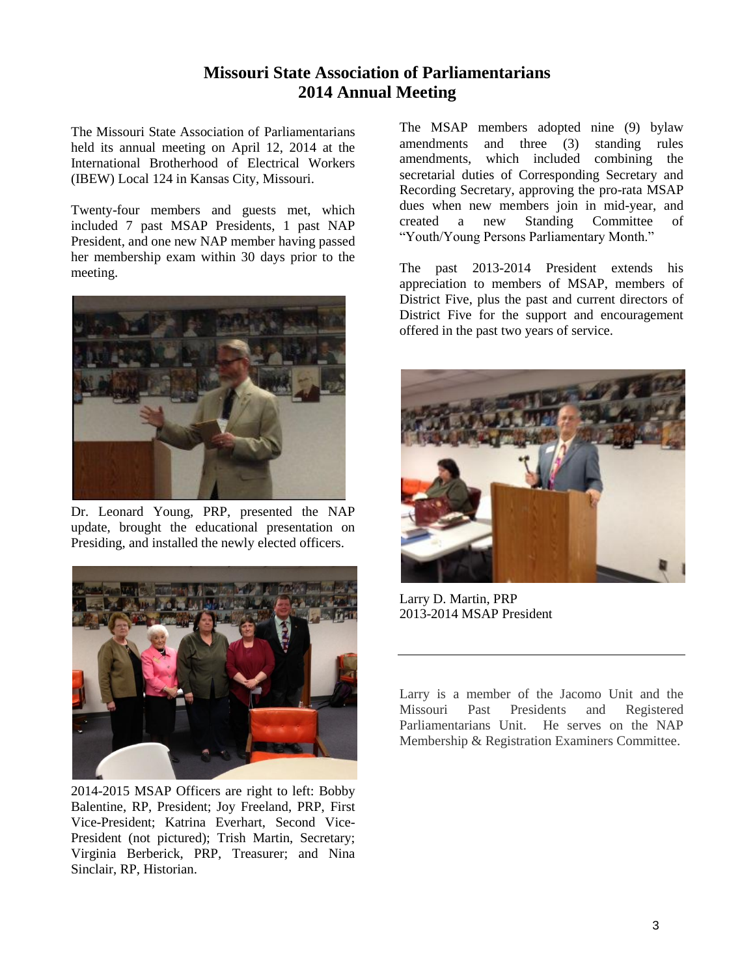### **Missouri State Association of Parliamentarians 2014 Annual Meeting**

The Missouri State Association of Parliamentarians held its annual meeting on April 12, 2014 at the International Brotherhood of Electrical Workers (IBEW) Local 124 in Kansas City, Missouri.

Twenty-four members and guests met, which included 7 past MSAP Presidents, 1 past NAP President, and one new NAP member having passed her membership exam within 30 days prior to the meeting.



Dr. Leonard Young, PRP, presented the NAP update, brought the educational presentation on Presiding, and installed the newly elected officers.



2014-2015 MSAP Officers are right to left: Bobby Balentine, RP, President; Joy Freeland, PRP, First Vice-President; Katrina Everhart, Second Vice-President (not pictured); Trish Martin, Secretary; Virginia Berberick, PRP, Treasurer; and Nina Sinclair, RP, Historian.

The MSAP members adopted nine (9) bylaw amendments and three (3) standing rules amendments, which included combining the secretarial duties of Corresponding Secretary and Recording Secretary, approving the pro-rata MSAP dues when new members join in mid-year, and<br>created a new Standing Committee of created a new Standing Committee of "Youth/Young Persons Parliamentary Month."

The past 2013-2014 President extends his appreciation to members of MSAP, members of District Five, plus the past and current directors of District Five for the support and encouragement offered in the past two years of service.



Larry D. Martin, PRP 2013-2014 MSAP President

Larry is a member of the Jacomo Unit and the<br>Missouri Past Presidents and Registered Missouri Past Presidents and Registered Parliamentarians Unit. He serves on the NAP Membership & Registration Examiners Committee.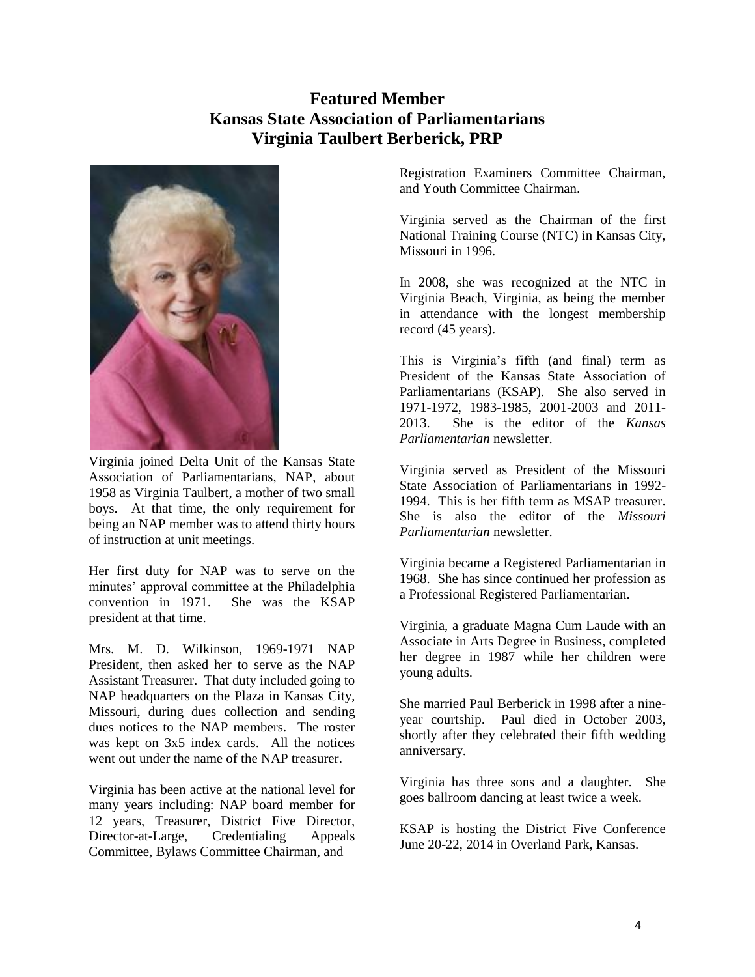## **Featured Member Kansas State Association of Parliamentarians Virginia Taulbert Berberick, PRP**



Virginia joined Delta Unit of the Kansas State Association of Parliamentarians, NAP, about 1958 as Virginia Taulbert, a mother of two small boys. At that time, the only requirement for being an NAP member was to attend thirty hours of instruction at unit meetings.

Her first duty for NAP was to serve on the minutes' approval committee at the Philadelphia convention in 1971. She was the KSAP president at that time.

Mrs. M. D. Wilkinson, 1969-1971 NAP President, then asked her to serve as the NAP Assistant Treasurer. That duty included going to NAP headquarters on the Plaza in Kansas City, Missouri, during dues collection and sending dues notices to the NAP members. The roster was kept on  $3x5$  index cards. All the notices went out under the name of the NAP treasurer.

Virginia has been active at the national level for many years including: NAP board member for 12 years, Treasurer, District Five Director, Director-at-Large, Credentialing Appeals Committee, Bylaws Committee Chairman, and

Registration Examiners Committee Chairman, and Youth Committee Chairman.

Virginia served as the Chairman of the first National Training Course (NTC) in Kansas City, Missouri in 1996.

In 2008, she was recognized at the NTC in Virginia Beach, Virginia, as being the member in attendance with the longest membership record (45 years).

This is Virginia's fifth (and final) term as President of the Kansas State Association of Parliamentarians (KSAP). She also served in 1971-1972, 1983-1985, 2001-2003 and 2011- 2013. She is the editor of the *Kansas Parliamentarian* newsletter.

Virginia served as President of the Missouri State Association of Parliamentarians in 1992- 1994. This is her fifth term as MSAP treasurer. She is also the editor of the *Missouri Parliamentarian* newsletter.

Virginia became a Registered Parliamentarian in 1968. She has since continued her profession as a Professional Registered Parliamentarian.

Virginia, a graduate Magna Cum Laude with an Associate in Arts Degree in Business, completed her degree in 1987 while her children were young adults.

She married Paul Berberick in 1998 after a nineyear courtship. Paul died in October 2003, shortly after they celebrated their fifth wedding anniversary.

Virginia has three sons and a daughter. She goes ballroom dancing at least twice a week.

KSAP is hosting the District Five Conference June 20-22, 2014 in Overland Park, Kansas.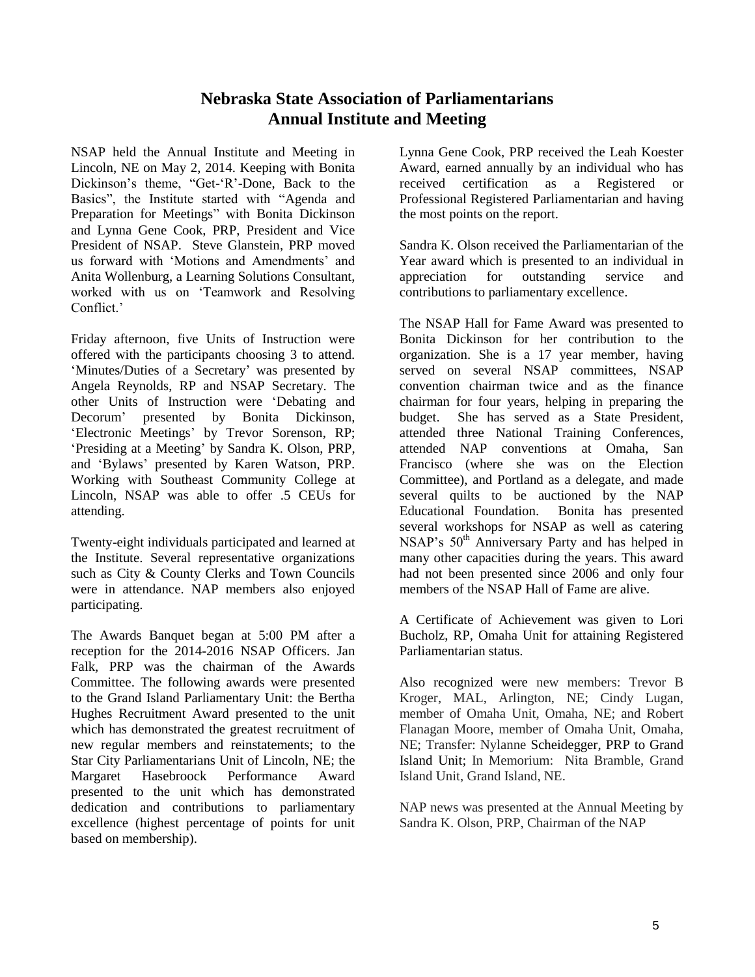#### **Nebraska State Association of Parliamentarians Annual Institute and Meeting**

NSAP held the Annual Institute and Meeting in Lincoln, NE on May 2, 2014. Keeping with Bonita Dickinson's theme, "Get-'R'-Done, Back to the Basics", the Institute started with "Agenda and Preparation for Meetings" with Bonita Dickinson and Lynna Gene Cook, PRP, President and Vice President of NSAP. Steve Glanstein, PRP moved us forward with 'Motions and Amendments' and Anita Wollenburg, a Learning Solutions Consultant, worked with us on 'Teamwork and Resolving Conflict<sup>'</sup>

Friday afternoon, five Units of Instruction were offered with the participants choosing 3 to attend. 'Minutes/Duties of a Secretary' was presented by Angela Reynolds, RP and NSAP Secretary. The other Units of Instruction were 'Debating and Decorum' presented by Bonita Dickinson, 'Electronic Meetings' by Trevor Sorenson, RP; 'Presiding at a Meeting' by Sandra K. Olson, PRP, and 'Bylaws' presented by Karen Watson, PRP. Working with Southeast Community College at Lincoln, NSAP was able to offer .5 CEUs for attending.

Twenty-eight individuals participated and learned at the Institute. Several representative organizations such as City & County Clerks and Town Councils were in attendance. NAP members also enjoyed participating.

The Awards Banquet began at 5:00 PM after a reception for the 2014-2016 NSAP Officers. Jan Falk, PRP was the chairman of the Awards Committee. The following awards were presented to the Grand Island Parliamentary Unit: the Bertha Hughes Recruitment Award presented to the unit which has demonstrated the greatest recruitment of new regular members and reinstatements; to the Star City Parliamentarians Unit of Lincoln, NE; the Margaret Hasebroock Performance Award presented to the unit which has demonstrated dedication and contributions to parliamentary excellence (highest percentage of points for unit based on membership).

Lynna Gene Cook, PRP received the Leah Koester Award, earned annually by an individual who has received certification as a Registered or Professional Registered Parliamentarian and having the most points on the report.

Sandra K. Olson received the Parliamentarian of the Year award which is presented to an individual in appreciation for outstanding service and contributions to parliamentary excellence.

The NSAP Hall for Fame Award was presented to Bonita Dickinson for her contribution to the organization. She is a 17 year member, having served on several NSAP committees, NSAP convention chairman twice and as the finance chairman for four years, helping in preparing the budget. She has served as a State President, attended three National Training Conferences, attended NAP conventions at Omaha, San Francisco (where she was on the Election Committee), and Portland as a delegate, and made several quilts to be auctioned by the NAP Educational Foundation. Bonita has presented several workshops for NSAP as well as catering NSAP's  $50<sup>th</sup>$  Anniversary Party and has helped in many other capacities during the years. This award had not been presented since 2006 and only four members of the NSAP Hall of Fame are alive.

A Certificate of Achievement was given to Lori Bucholz, RP, Omaha Unit for attaining Registered Parliamentarian status.

Also recognized were new members: Trevor B Kroger, MAL, Arlington, NE; Cindy Lugan, member of Omaha Unit, Omaha, NE; and Robert Flanagan Moore, member of Omaha Unit, Omaha, NE; Transfer: Nylanne Scheidegger, PRP to Grand Island Unit; In Memorium: Nita Bramble, Grand Island Unit, Grand Island, NE.

NAP news was presented at the Annual Meeting by Sandra K. Olson, PRP, Chairman of the NAP